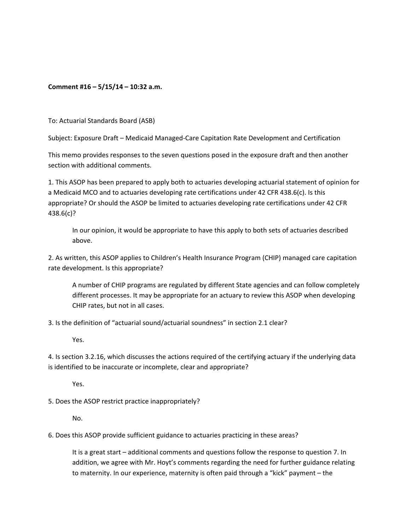## **Comment #16 – 5/15/14 – 10:32 a.m.**

To: Actuarial Standards Board (ASB)

Subject: Exposure Draft – Medicaid Managed‐Care Capitation Rate Development and Certification

This memo provides responses to the seven questions posed in the exposure draft and then another section with additional comments.

1. This ASOP has been prepared to apply both to actuaries developing actuarial statement of opinion for a Medicaid MCO and to actuaries developing rate certifications under 42 CFR 438.6(c). Is this appropriate? Or should the ASOP be limited to actuaries developing rate certifications under 42 CFR 438.6(c)?

In our opinion, it would be appropriate to have this apply to both sets of actuaries described above.

2. As written, this ASOP applies to Children's Health Insurance Program (CHIP) managed care capitation rate development. Is this appropriate?

A number of CHIP programs are regulated by different State agencies and can follow completely different processes. It may be appropriate for an actuary to review this ASOP when developing CHIP rates, but not in all cases.

3. Is the definition of "actuarial sound/actuarial soundness" in section 2.1 clear?

Yes.

4. Is section 3.2.16, which discusses the actions required of the certifying actuary if the underlying data is identified to be inaccurate or incomplete, clear and appropriate?

Yes.

5. Does the ASOP restrict practice inappropriately?

No.

6. Does this ASOP provide sufficient guidance to actuaries practicing in these areas?

It is a great start – additional comments and questions follow the response to question 7. In addition, we agree with Mr. Hoyt's comments regarding the need for further guidance relating to maternity. In our experience, maternity is often paid through a "kick" payment – the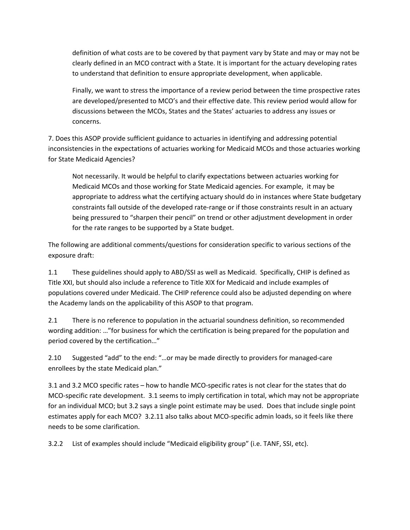definition of what costs are to be covered by that payment vary by State and may or may not be clearly defined in an MCO contract with a State. It is important for the actuary developing rates to understand that definition to ensure appropriate development, when applicable.

Finally, we want to stress the importance of a review period between the time prospective rates are developed/presented to MCO's and their effective date. This review period would allow for discussions between the MCOs, States and the States' actuaries to address any issues or concerns.

7. Does this ASOP provide sufficient guidance to actuaries in identifying and addressing potential inconsistencies in the expectations of actuaries working for Medicaid MCOs and those actuaries working for State Medicaid Agencies?

Not necessarily. It would be helpful to clarify expectations between actuaries working for Medicaid MCOs and those working for State Medicaid agencies. For example, it may be appropriate to address what the certifying actuary should do in instances where State budgetary constraints fall outside of the developed rate‐range or if those constraints result in an actuary being pressured to "sharpen their pencil" on trend or other adjustment development in order for the rate ranges to be supported by a State budget.

The following are additional comments/questions for consideration specific to various sections of the exposure draft:

1.1 These guidelines should apply to ABD/SSI as well as Medicaid. Specifically, CHIP is defined as Title XXI, but should also include a reference to Title XIX for Medicaid and include examples of populations covered under Medicaid. The CHIP reference could also be adjusted depending on where the Academy lands on the applicability of this ASOP to that program.

2.1 There is no reference to population in the actuarial soundness definition, so recommended wording addition: …"for business for which the certification is being prepared for the population and period covered by the certification…"

2.10 Suggested "add" to the end: "…or may be made directly to providers for managed‐care enrollees by the state Medicaid plan."

3.1 and 3.2 MCO specific rates – how to handle MCO‐specific rates is not clear for the states that do MCO‐specific rate development. 3.1 seems to imply certification in total, which may not be appropriate for an individual MCO; but 3.2 says a single point estimate may be used. Does that include single point estimates apply for each MCO? 3.2.11 also talks about MCO-specific admin loads, so it feels like there needs to be some clarification.

3.2.2 List of examples should include "Medicaid eligibility group" (i.e. TANF, SSI, etc).